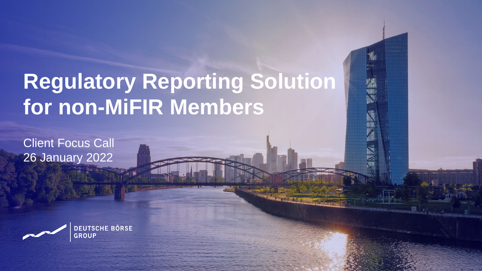# **Regulatory Reporting Solution for non-MiFIR Members**

Public

Client Focus Call 26 January 2022

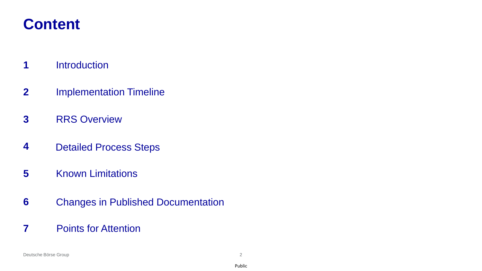## **Content**

- Introduction
- Implementation Timeline
- RRS Overview
- Detailed Process Steps
- Known Limitations
- Changes in Published Documentation
- Points for Attention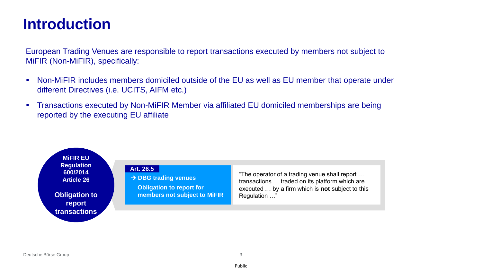#### **Introduction**

European Trading Venues are responsible to report transactions executed by members not subject to MiFIR (Non-MiFIR), specifically:

- Non-MiFIR includes members domiciled outside of the EU as well as EU member that operate under different Directives (i.e. UCITS, AIFM etc.)
- **Transactions executed by Non-MiFIR Member via affiliated EU domiciled memberships are being** reported by the executing EU affiliate

**MiFIR EU Regulation 600/2014 Article 26** 

**Obligation to report transactions**

**Art. 26.5**

→ **DBG trading venues**

**Obligation to report for members not subject to MiFIR** "The operator of a trading venue shall report … transactions … traded on its platform which are executed … by a firm which is **not** subject to this Regulation …"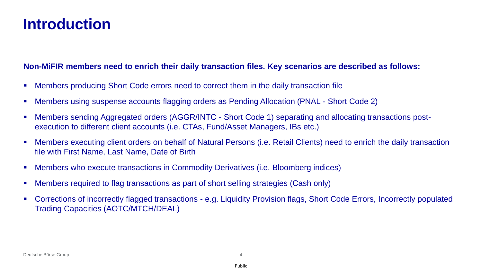#### **Introduction**

#### **Non-MiFIR members need to enrich their daily transaction files. Key scenarios are described as follows:**

- Members producing Short Code errors need to correct them in the daily transaction file
- Members using suspense accounts flagging orders as Pending Allocation (PNAL Short Code 2)
- Members sending Aggregated orders (AGGR/INTC Short Code 1) separating and allocating transactions postexecution to different client accounts (i.e. CTAs, Fund/Asset Managers, IBs etc.)
- Members executing client orders on behalf of Natural Persons (i.e. Retail Clients) need to enrich the daily transaction file with First Name, Last Name, Date of Birth
- Members who execute transactions in Commodity Derivatives (i.e. Bloomberg indices)
- Members required to flag transactions as part of short selling strategies (Cash only)
- Corrections of incorrectly flagged transactions e.g. Liquidity Provision flags, Short Code Errors, Incorrectly populated Trading Capacities (AOTC/MTCH/DEAL)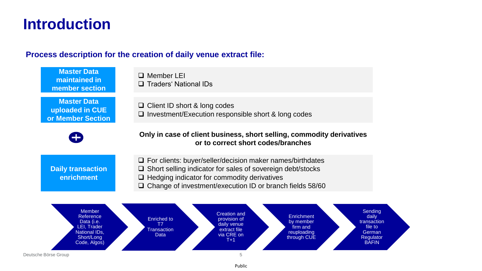#### **Introduction**

#### **Process description for the creation of daily venue extract file:**



Public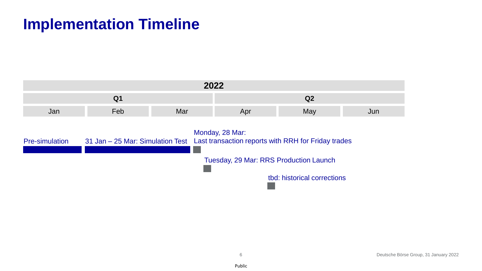#### **Implementation Timeline**

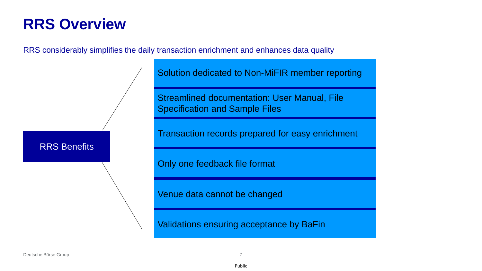RRS considerably simplifies the daily transaction enrichment and enhances data quality

RRS Benefits

Solution dedicated to Non-MiFIR member reporting

Streamlined documentation: User Manual, File Specification and Sample Files

Transaction records prepared for easy enrichment

Only one feedback file format

Venue data cannot be changed

Validations ensuring acceptance by BaFin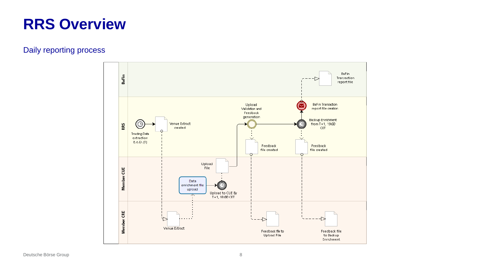#### Daily reporting process

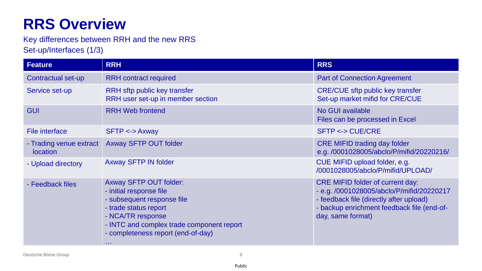Key differences between RRH and the new RRS Set-up/Interfaces (1/3)

| <b>Feature</b>                      | <b>RRH</b>                                                                                                                                                                                                                                 | <b>RRS</b>                                                                                                                                                                                         |  |
|-------------------------------------|--------------------------------------------------------------------------------------------------------------------------------------------------------------------------------------------------------------------------------------------|----------------------------------------------------------------------------------------------------------------------------------------------------------------------------------------------------|--|
| Contractual set-up                  | <b>RRH</b> contract required                                                                                                                                                                                                               | <b>Part of Connection Agreement</b>                                                                                                                                                                |  |
| Service set-up                      | RRH sftp public key transfer<br>RRH user set-up in member section                                                                                                                                                                          | <b>CRE/CUE sftp public key transfer</b><br>Set-up market mifid for CRE/CUE                                                                                                                         |  |
| <b>GUI</b>                          | <b>RRH Web frontend</b>                                                                                                                                                                                                                    | No GUI available<br>Files can be processed in Excel                                                                                                                                                |  |
| File interface                      | $SFTP \leftarrow > Axway$                                                                                                                                                                                                                  | <b>SFTP &lt;-&gt; CUE/CRE</b>                                                                                                                                                                      |  |
| - Trading venue extract<br>location | <b>Axway SFTP OUT folder</b>                                                                                                                                                                                                               | <b>CRE MIFID trading day folder</b><br>e.g. /0001028005/abclo/P/mifid/20220216/                                                                                                                    |  |
| - Upload directory                  | <b>Axway SFTP IN folder</b>                                                                                                                                                                                                                | CUE MIFID upload folder, e.g.<br>/0001028005/abclo/P/mifid/UPLOAD/                                                                                                                                 |  |
| - Feedback files                    | <b>Axway SFTP OUT folder:</b><br>- initial response file<br>- subsequent response file<br>- trade status report<br>- NCA/TR response<br>- INTC and complex trade component report<br>- completeness report (end-of-day)<br><b>ALC UNIT</b> | <b>CRE MIFID folder of current day:</b><br>- e.g. /0001028005/abclo/P/mifid/20220217<br>- feedback file (directly after upload)<br>- backup enrichment feedback file (end-of-<br>day, same format) |  |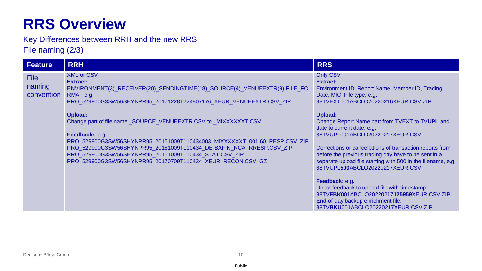Key Differences between RRH and the new RRS File naming (2/3)

| <b>Feature</b>                      | <b>RRH</b>                                                                                                                                                                                                                                                                                                                                                                                                                                                                                                                                                                              | <b>RRS</b>                                                                                                                                                                                                                                                                                                                                                                                                                                                                                                                                                                                                                                                                                                            |
|-------------------------------------|-----------------------------------------------------------------------------------------------------------------------------------------------------------------------------------------------------------------------------------------------------------------------------------------------------------------------------------------------------------------------------------------------------------------------------------------------------------------------------------------------------------------------------------------------------------------------------------------|-----------------------------------------------------------------------------------------------------------------------------------------------------------------------------------------------------------------------------------------------------------------------------------------------------------------------------------------------------------------------------------------------------------------------------------------------------------------------------------------------------------------------------------------------------------------------------------------------------------------------------------------------------------------------------------------------------------------------|
| <b>File</b><br>naming<br>convention | <b>XML or CSV</b><br><b>Extract:</b><br>ENVIRONMENT(3)_RECEIVER(20)_SENDINGTIME(18)_SOURCE(4)_VENUEEXTR(9).FILE_FO<br>RMAT e.g.<br>PRO_529900G3SW56SHYNPR95_20171228T224807176_XEUR_VENUEEXTR.CSV_ZIP<br><b>Upload:</b><br>Change part of file name_SOURCE_VENUEEXTR.CSV to _MIXXXXXXT.CSV<br>Feedback: e.g.<br>PRO_529900G3SW56SHYNPR95_20151009T110434003_MIXXXXXXT_001.60_RESP.CSV_ZIP<br>PRO_529900G3SW56SHYNPR95_20151009T110434_DE-BAFIN_NCATRRESP.CSV_ZIP<br>PRO_529900G3SW56SHYNPR95_20151009T110434_STAT.CSV_ZIP<br>PRO_529900G3SW56SHYNPR95_20170709T110434_XEUR_RECON.CSV_GZ | <b>Only CSV</b><br><b>Extract:</b><br>Environment ID, Report Name, Member ID, Trading<br>Date, MIC, File type; e.g.<br>88TVEXT001ABCLO20220216XEUR.CSV.ZIP<br><b>Upload:</b><br>Change Report Name part from TVEXT to TVUPL and<br>date to current date, e.g.<br>88TVUPL001ABCLO20220217XEUR.CSV<br>Corrections or cancellations of transaction reports from<br>before the previous trading day have to be sent in a<br>separate upload file starting with 500 in the filename, e.g.<br>88TVUPL500ABCLO20220217XEUR.CSV<br>Feedback: e.g.<br>Direct feedback to upload file with timestamp:<br>88TVFBK001ABCLO20220217125959XEUR.CSV.ZIP<br>End-of-day backup enrichment file:<br>88TVBKU001ABCLO20220217XEUR.CSV.ZIP |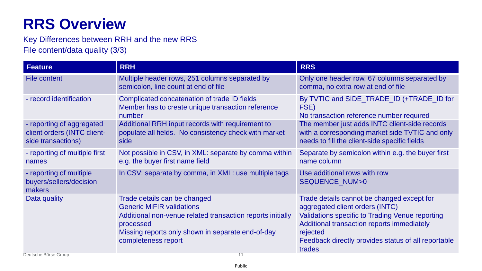Key Differences between RRH and the new RRS File content/data quality (3/3)

| <b>Feature</b>                                                                 | <b>RRH</b>                                                                                                                                                                                                              | <b>RRS</b>                                                                                                                                                                                                                                                         |
|--------------------------------------------------------------------------------|-------------------------------------------------------------------------------------------------------------------------------------------------------------------------------------------------------------------------|--------------------------------------------------------------------------------------------------------------------------------------------------------------------------------------------------------------------------------------------------------------------|
| <b>File content</b>                                                            | Multiple header rows, 251 columns separated by<br>semicolon, line count at end of file                                                                                                                                  | Only one header row, 67 columns separated by<br>comma, no extra row at end of file                                                                                                                                                                                 |
| - record identification                                                        | Complicated concatenation of trade ID fields<br>Member has to create unique transaction reference<br>number                                                                                                             | By TVTIC and SIDE_TRADE_ID (+TRADE_ID for<br>FSE)<br>No transaction reference number required                                                                                                                                                                      |
| - reporting of aggregated<br>client orders (INTC client-<br>side transactions) | Additional RRH input records with requirement to<br>populate all fields. No consistency check with market<br>side                                                                                                       | The member just adds INTC client-side records<br>with a corresponding market side TVTIC and only<br>needs to fill the client-side specific fields                                                                                                                  |
| - reporting of multiple first<br>names                                         | Not possible in CSV, in XML: separate by comma within<br>e.g. the buyer first name field                                                                                                                                | Separate by semicolon within e.g. the buyer first<br>name column                                                                                                                                                                                                   |
| - reporting of multiple<br>buyers/sellers/decision<br>makers                   | In CSV: separate by comma, in XML: use multiple tags                                                                                                                                                                    | Use additional rows with row<br><b>SEQUENCE NUM&gt;0</b>                                                                                                                                                                                                           |
| Data quality                                                                   | Trade details can be changed<br><b>Generic MiFIR validations</b><br>Additional non-venue related transaction reports initially<br>processed<br>Missing reports only shown in separate end-of-day<br>completeness report | Trade details cannot be changed except for<br>aggregated client orders (INTC)<br><b>Validations specific to Trading Venue reporting</b><br>Additional transaction reports immediately<br>rejected<br>Feedback directly provides status of all reportable<br>trades |
| Deutsche Börse Group                                                           | 11                                                                                                                                                                                                                      |                                                                                                                                                                                                                                                                    |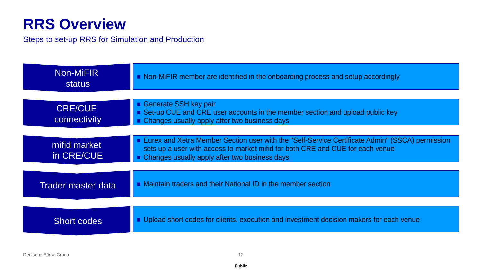Steps to set-up RRS for Simulation and Production

| Non-MiFIR<br>status            | • Non-MiFIR member are identified in the onboarding process and setup accordingly                                                                                                                                                    |
|--------------------------------|--------------------------------------------------------------------------------------------------------------------------------------------------------------------------------------------------------------------------------------|
|                                |                                                                                                                                                                                                                                      |
| <b>CRE/CUE</b><br>connectivity | Generate SSH key pair<br>Set-up CUE and CRE user accounts in the member section and upload public key<br>• Changes usually apply after two business days                                                                             |
|                                |                                                                                                                                                                                                                                      |
| mifid market<br>in CRE/CUE     | ■ Eurex and Xetra Member Section user with the "Self-Service Certificate Admin" (SSCA) permission<br>sets up a user with access to market mifid for both CRE and CUE for each venue<br>Changes usually apply after two business days |
|                                |                                                                                                                                                                                                                                      |
| <b>Trader master data</b>      | • Maintain traders and their National ID in the member section                                                                                                                                                                       |
|                                |                                                                                                                                                                                                                                      |
| <b>Short codes</b>             | ■ Upload short codes for clients, execution and investment decision makers for each venue                                                                                                                                            |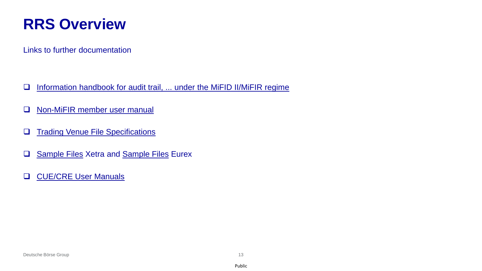Links to further documentation

- □ [Information handbook for audit trail, ... under the MiFID II/MiFIR regime](https://www.xetra.com/xetra-en/technology/t7/system-documentation/release10-0?frag=2692718)
- □ [Non-MiFIR member user manual](https://www.xetra.com/xetra-en/newsroom/current-regulatory-topics/mifid-two-and-mifir/Clearing-18632?frag=244810)
- ❑ [Trading Venue File Specifications](https://www.xetra.com/xetra-en/newsroom/current-regulatory-topics/mifid-two-and-mifir/Clearing-18632?frag=244810)
- ❑ [Sample Files](https://www.xetra.com/xetra-en/newsroom/current-regulatory-topics/mifid-two-and-mifir/Clearing-18632?frag=244810) Xetra and [Sample Files](https://www.eurex.com/ex-en/support/initiatives/project-readiness/Project-Readiness-2442558?frag=2781102) Eurex
- ❑ [CUE/CRE User Manuals](https://www.xetra.com/xetra-en/technology/t7/system-documentation/release10-0?frag=2692718)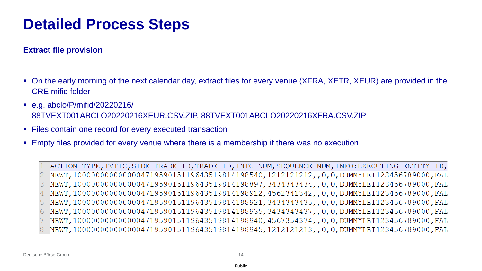#### **Extract file provision**

- On the early morning of the next calendar day, extract files for every venue (XFRA, XETR, XEUR) are provided in the CRE mifid folder
- e.g. abclo/P/mifid/20220216/ 88TVEXT001ABCLO20220216XEUR.CSV.ZIP, 88TVEXT001ABCLO20220216XFRA.CSV.ZIP
- Files contain one record for every executed transaction
- **Empty files provided for every venue where there is a membership if there was no execution**

ACTION TYPE, TVTIC, SIDE TRADE ID, TRADE ID, INTC NUM, SEQUENCE NUM, INFO: EXECUTING ENTITY ID, NEWT,100000000000000471959015119643519814198540,1212121212,,0,0,DUMMYLEI123456789000,FAL 2 NEWT,100000000000000471959015119643519814198897,3434343434,,0,0,DUMMYLEI123456789000,FAL 3 NEWT,100000000000000471959015119643519814198912,4562341342,,0,0,DUMMYLEI123456789000,FAL NEWT, 100000000000000471959015119643519814198921, 3434343435, , 0, 0, DUMMYLEI123456789000, FAL 5 NEWT,100000000000000471959015119643519814198935,3434343437,,0,0,DUMMYLEI123456789000,FAL NEWT,100000000000000471959015119643519814198940,4567354374,,0,0,DUMMYLEI123456789000,FAL NEWT, 1000000000000000471959015119643519814198945, 1212121213, , 0, 0, DUMMYLEI123456789000, FAL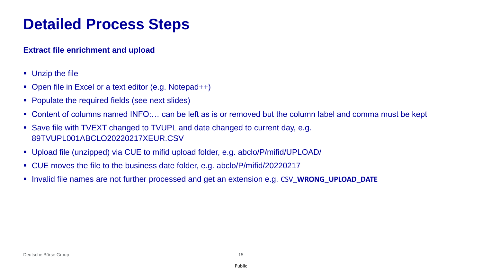#### **Extract file enrichment and upload**

- Unzip the file
- Open file in Excel or a text editor (e.g. Notepad++)
- Populate the required fields (see next slides)
- Content of columns named INFO:... can be left as is or removed but the column label and comma must be kept
- Save file with TVEXT changed to TVUPL and date changed to current day, e.g. 89TVUPL001ABCLO20220217XEUR.CSV
- Upload file (unzipped) via CUE to mifid upload folder, e.g. abclo/P/mifid/UPLOAD/
- CUE moves the file to the business date folder, e.g. abclo/P/mifid/20220217
- Invalid file names are not further processed and get an extension e.g. CSV**\_WRONG\_UPLOAD\_DATE**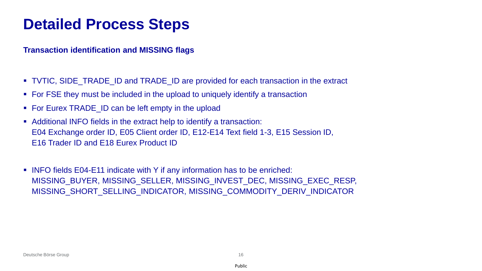**Transaction identification and MISSING flags**

- TVTIC, SIDE TRADE ID and TRADE ID are provided for each transaction in the extract
- For FSE they must be included in the upload to uniquely identify a transaction
- For Eurex TRADE\_ID can be left empty in the upload
- Additional INFO fields in the extract help to identify a transaction: E04 Exchange order ID, E05 Client order ID, E12-E14 Text field 1-3, E15 Session ID, E16 Trader ID and E18 Eurex Product ID
- INFO fields E04-E11 indicate with Y if any information has to be enriched: MISSING\_BUYER, MISSING\_SELLER, MISSING\_INVEST\_DEC, MISSING\_EXEC\_RESP, MISSING\_SHORT\_SELLING\_INDICATOR, MISSING\_COMMODITY\_DERIV\_INDICATOR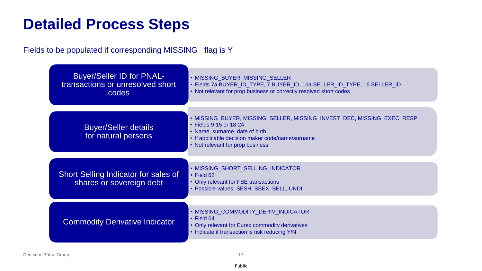Fields to be populated if corresponding MISSING\_ flag is Y

| <b>Buyer/Seller ID for PNAL-</b><br>transactions or unresolved short<br>codes | • MISSING_BUYER, MISSING_SELLER<br>• Fields 7a BUYER_ID_TYPE, 7 BUYER_ID, 16a SELLER_ID_TYPE, 16 SELLER_ID<br>• Not relevant for prop business or correctly resolved short codes                                           |
|-------------------------------------------------------------------------------|----------------------------------------------------------------------------------------------------------------------------------------------------------------------------------------------------------------------------|
| <b>Buyer/Seller details</b><br>for natural persons                            | • MISSING_BUYER, MISSING_SELLER, MISSING_INVEST_DEC, MISSING_EXEC_RESP<br>• Fields 9-15 or 18-24<br>• Name, surname, date of birth<br>• If applicable decision maker code/name/surname<br>• Not relevant for prop business |
| Short Selling Indicator for sales of<br>shares or sovereign debt              | • MISSING_SHORT_SELLING_INDICATOR<br>$\cdot$ Field 62<br>• Only relevant for FSE transactions<br>· Possible values: SESH, SSEX, SELL, UNDI                                                                                 |
| <b>Commodity Derivative Indicator</b>                                         | • MISSING_COMMODITY_DERIV_INDICATOR<br>$\cdot$ Field 64<br>• Only relevant for Eurex commodity derivatives<br>• Indicate if transaction is risk reducing Y/N                                                               |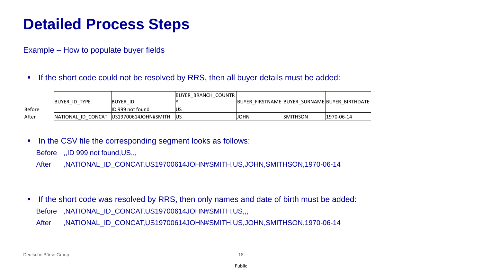Example – How to populate buyer fields

**.** If the short code could not be resolved by RRS, then all buyer details must be added:

|        |               |                                         | <b>BUYER BRANCH COUNTR</b> |                                               |                  |                |
|--------|---------------|-----------------------------------------|----------------------------|-----------------------------------------------|------------------|----------------|
|        | BUYER ID TYPE | <b>BUYER ID</b>                         |                            | BUYER FIRSTNAME BUYER SURNAME BUYER BIRTHDATE |                  |                |
| Before |               | ID 999 not found                        |                            |                                               |                  |                |
| After  |               | NATIONAL ID CONCAT US19700614JOHN#SMITH | <b>IUS</b>                 | <b>JOHN</b>                                   | <b>ISMITHSON</b> | $ 1970-06-14 $ |

■ In the CSV file the corresponding segment looks as follows:

Before ,,ID 999 not found,US,,,

After ,NATIONAL\_ID\_CONCAT,US19700614JOHN#SMITH,US,JOHN,SMITHSON,1970-06-14

**.** If the short code was resolved by RRS, then only names and date of birth must be added: Before ,NATIONAL\_ID\_CONCAT,US19700614JOHN#SMITH,US,,, After ,NATIONAL\_ID\_CONCAT,US19700614JOHN#SMITH,US,JOHN,SMITHSON,1970-06-14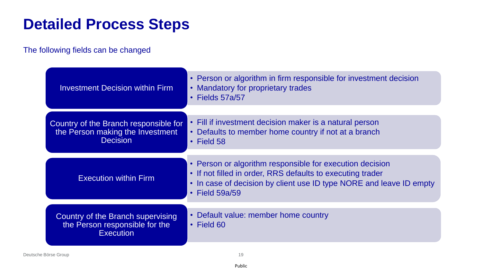#### The following fields can be changed

| <b>Investment Decision within Firm</b> | • Person or algorithm in firm responsible for investment decision<br>• Mandatory for proprietary trades<br>$\cdot$ Fields 57a/57                                                                                      |
|----------------------------------------|-----------------------------------------------------------------------------------------------------------------------------------------------------------------------------------------------------------------------|
| Country of the Branch responsible for  | • Fill if investment decision maker is a natural person                                                                                                                                                               |
| the Person making the Investment       | • Defaults to member home country if not at a branch                                                                                                                                                                  |
| <b>Decision</b>                        | $\cdot$ Field 58                                                                                                                                                                                                      |
| <b>Execution within Firm</b>           | • Person or algorithm responsible for execution decision<br>• If not filled in order, RRS defaults to executing trader<br>• In case of decision by client use ID type NORE and leave ID empty<br>$\cdot$ Field 59a/59 |
| Country of the Branch supervising      | Default value: member home country                                                                                                                                                                                    |
| the Person responsible for the         | $\bullet$                                                                                                                                                                                                             |
| <b>Execution</b>                       | $\cdot$ Field 60                                                                                                                                                                                                      |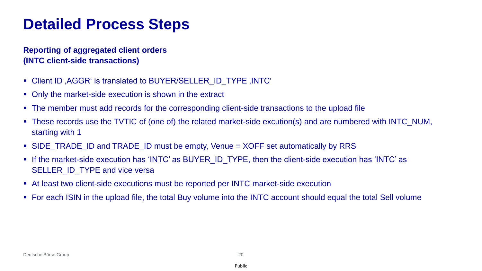#### **Reporting of aggregated client orders (INTC client-side transactions)**

- Client ID, AGGR' is translated to BUYER/SELLER\_ID\_TYPE, INTC
- Only the market-side execution is shown in the extract
- The member must add records for the corresponding client-side transactions to the upload file
- These records use the TVTIC of (one of) the related market-side excution(s) and are numbered with INTC\_NUM, starting with 1
- SIDE\_TRADE\_ID and TRADE\_ID must be empty, Venue = XOFF set automatically by RRS
- **.** If the market-side execution has 'INTC' as BUYER\_ID\_TYPE, then the client-side execution has 'INTC' as SELLER\_ID\_TYPE and vice versa
- At least two client-side executions must be reported per INTC market-side execution
- For each ISIN in the upload file, the total Buy volume into the INTC account should equal the total Sell volume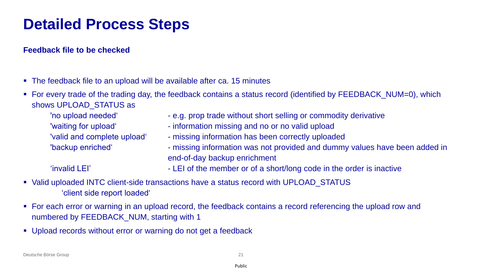#### **Feedback file to be checked**

■ The feedback file to an upload will be available after ca. 15 minutes

■ For every trade of the trading day, the feedback contains a status record (identified by FEEDBACK\_NUM=0), which shows UPLOAD\_STATUS as

- - 'no upload needed' e.g. prop trade without short selling or commodity derivative
	- 'waiting for upload' information missing and no or no valid upload
	- 'valid and complete upload' missing information has been correctly uploaded
	- 'backup enriched' missing information was not provided and dummy values have been added in end-of-day backup enrichment

- 'invalid LEI' LEI of the member or of a short/long code in the order is inactive
- Valid uploaded INTC client-side transactions have a status record with UPLOAD\_STATUS 'client side report loaded'
- For each error or warning in an upload record, the feedback contains a record referencing the upload row and numbered by FEEDBACK\_NUM, starting with 1
- Upload records without error or warning do not get a feedback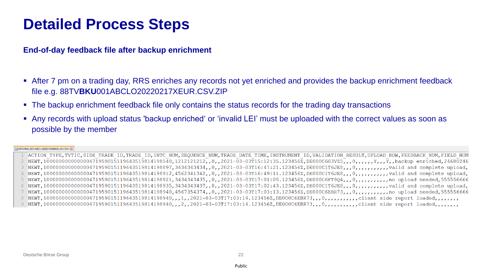**End-of-day feedback file after backup enrichment**

- After 7 pm on a trading day, RRS enriches any records not yet enriched and provides the backup enrichment feedback file e.g. 88TV**BKU**001ABCLO20220217XEUR.CSV.ZIP
- The backup enrichment feedback file only contains the status records for the trading day transactions
- Any records with upload status 'backup enriched' or 'invalid LEI' must be uploaded with the correct values as soon as possible by the member

#### S9TVBKU001ABCLO20210304XEUR.CSV

1 ACTION TYPE, TVTIC, SIDE TRADE ID, TRADE ID, INTC NUM, SEQUENCE NUM, TRADE DATE TIME, INSTRUMENT ID, VALIDATION RESULT, UPLOAD ROW, FEEDBACK NUM, FIELD NUM 2 NEWT, 10000000000000000471959015119643519814198540,1212121212,0,2021-03-03T15:12:35.1234562,DE000C6G3VZ5,,0,,,,Y,Y,,Y,,X,backup enriched,24680246 8 NEWT,1000000000000000471959015119643519814198940,,,1,,2021-03-03T17:03:14.123456Z,DE000C6EBR73,,,0,,,,,,,,,,,,Client side report loaded,,,,,,, 9 NEWT,1000000000000000471959015119643519814198940,,,2,,2021-03-03T17:03:14.123456Z,DE000C6EBR73,,,0,,,,,,,,,,,client side report loaded,,,,,,,,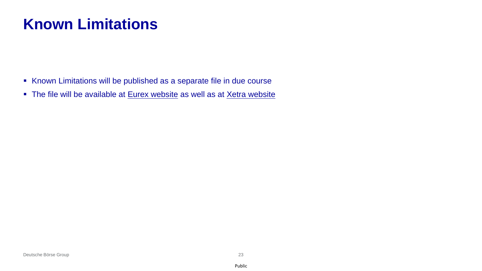## **Known Limitations**

- Known Limitations will be published as a separate file in due course
- The file will be available at [Eurex website](https://www.eurex.com/ex-en/support/initiatives/project-readiness/Project-Readiness-2442558?frag=2781102) as well as at [Xetra website](https://www.xetra.com/xetra-en/newsroom/current-regulatory-topics/mifid-two-and-mifir/Clearing-18632?frag=244810)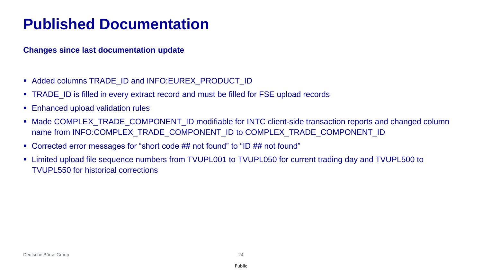### **Published Documentation**

**Changes since last documentation update**

- Added columns TRADE\_ID and INFO:EUREX\_PRODUCT\_ID
- TRADE ID is filled in every extract record and must be filled for FSE upload records
- Enhanced upload validation rules
- Made COMPLEX\_TRADE\_COMPONENT\_ID modifiable for INTC client-side transaction reports and changed column name from INFO:COMPLEX\_TRADE\_COMPONENT\_ID to COMPLEX\_TRADE\_COMPONENT\_ID
- Corrected error messages for "short code ## not found" to "ID ## not found"
- Limited upload file sequence numbers from TVUPL001 to TVUPL050 for current trading day and TVUPL500 to TVUPL550 for historical corrections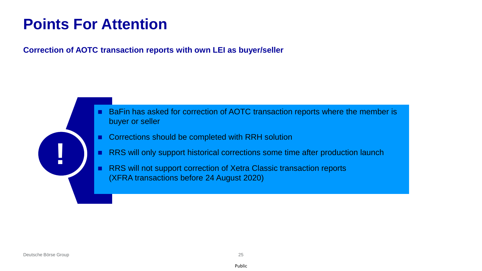#### **Points For Attention**

#### **Correction of AOTC transaction reports with own LEI as buyer/seller**

- BaFin has asked for correction of AOTC transaction reports where the member is buyer or seller
- Corrections should be completed with RRH solution
- RRS will only support historical corrections some time after production launch
- RRS will not support correction of Xetra Classic transaction reports (XFRA transactions before 24 August 2020)

**!**